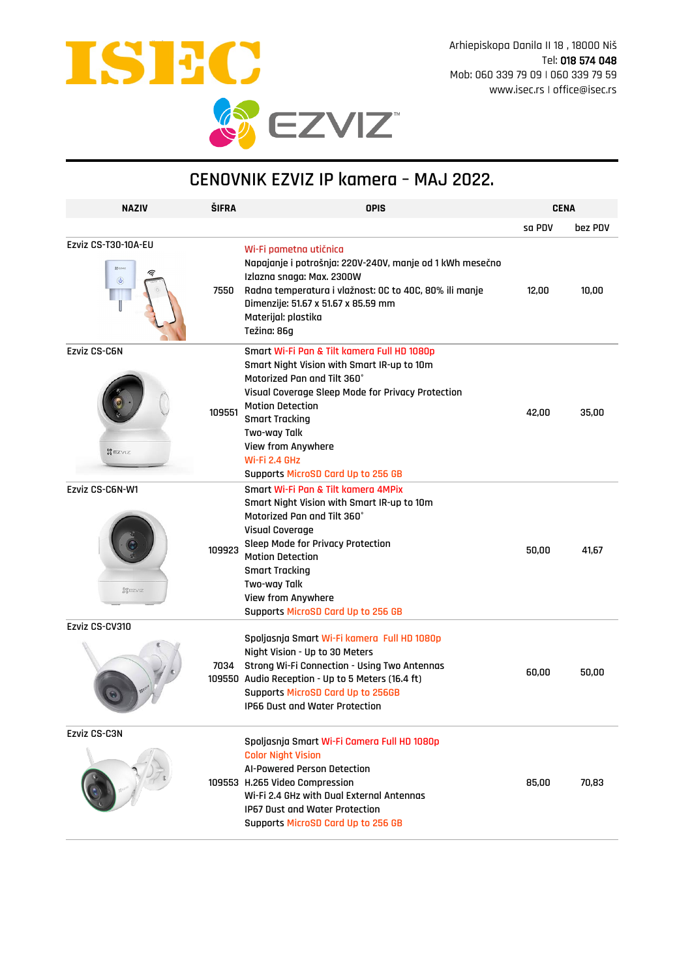

## **CENOVNIK EZVIZ IP kamera – MAJ 2022.**

| <b>NAZIV</b>                                            | <b>ŠIFRA</b> | <b>OPIS</b>                                                                                                                                                                                                                                                                                                                    | <b>CENA</b> |         |
|---------------------------------------------------------|--------------|--------------------------------------------------------------------------------------------------------------------------------------------------------------------------------------------------------------------------------------------------------------------------------------------------------------------------------|-------------|---------|
|                                                         |              |                                                                                                                                                                                                                                                                                                                                | sa PDV      | bez PDV |
| Ezviz CS-T30-10A-EU<br>Spezvo<br>⋐<br>$\left(  \right)$ | 7550         | Wi-Fi pametna utičnica<br>Napajanje i potrošnja: 220V-240V, manje od 1 kWh mesečno<br>Izlazna snaga: Max. 2300W<br>Radna temperatura i vlažnost: OC to 40C, 80% ili manje<br>Dimenzije: 51.67 x 51.67 x 85.59 mm<br>Materijal: plastika<br>Težina: 86g                                                                         | 12,00       | 10,00   |
| <b>Ezviz CS-C6N</b><br><b>SEZVIZ</b>                    | 109551       | Smart Wi-Fi Pan & Tilt kamera Full HD 1080p<br>Smart Night Vision with Smart IR-up to 10m<br>Motorized Pan and Tilt 360°<br>Visual Coverage Sleep Mode for Privacy Protection<br><b>Motion Detection</b><br><b>Smart Tracking</b><br>Two-way Talk<br>View from Anywhere<br>Wi-Fi 2.4 GHz<br>Supports MicroSD Card Up to 256 GB | 42,00       | 35,00   |
| Ezviz CS-C6N-W1<br><b>STEZVIZ</b>                       | 109923       | Smart Wi-Fi Pan & Tilt kamera 4MPix<br>Smart Night Vision with Smart IR-up to 10m<br>Motorized Pan and Tilt 360°<br>Visual Coverage<br>Sleep Mode for Privacy Protection<br><b>Motion Detection</b><br><b>Smart Tracking</b><br>Two-way Talk<br>View from Anywhere<br>Supports MicroSD Card Up to 256 GB                       | 50,00       | 41,67   |
| Ezviz CS-CV310                                          | 7034         | Spoljasnja Smart Wi-Fi kamera Full HD 1080p<br>Night Vision - Up to 30 Meters<br>Strong Wi-Fi Connection - Using Two Antennas<br>109550 Audio Reception - Up to 5 Meters (16.4 ft)<br>Supports MicroSD Card Up to 256GB<br><b>IP66 Dust and Water Protection</b>                                                               | 60,00       | 50,00   |
| Ezviz CS-C3N                                            |              | Spoljasnja Smart Wi-Fi Camera Full HD 1080p<br><b>Color Night Vision</b><br>AI-Powered Person Detection<br>109553 H.265 Video Compression<br>Wi-Fi 2.4 GHz with Dual External Antennas<br>IP67 Dust and Water Protection<br>Supports MicroSD Card Up to 256 GB                                                                 | 85,00       | 70,83   |